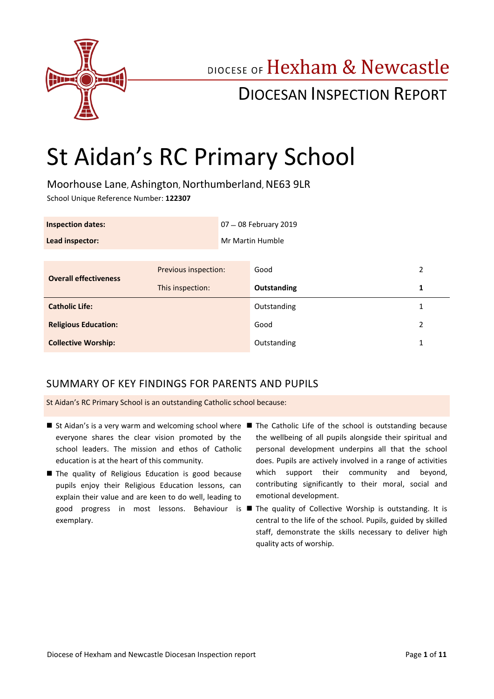

## DIOCESE OF Hexham & Newcastle

## DIOCESAN INSPECTION REPORT

# St Aidan's RC Primary School

Moorhouse Lane, Ashington, Northumberland, NE63 9LR School Unique Reference Number: **122307**

| <b>Inspection dates:</b>     |                      |  | 07 - 08 February 2019 |   |
|------------------------------|----------------------|--|-----------------------|---|
| Lead inspector:              |                      |  | Mr Martin Humble      |   |
|                              |                      |  |                       |   |
| <b>Overall effectiveness</b> | Previous inspection: |  | Good                  | 2 |
|                              | This inspection:     |  | Outstanding           | 1 |
| <b>Catholic Life:</b>        |                      |  | Outstanding           |   |
| <b>Religious Education:</b>  |                      |  | Good                  | 2 |
| <b>Collective Worship:</b>   |                      |  | Outstanding           | 1 |

### SUMMARY OF KEY FINDINGS FOR PARENTS AND PUPILS

St Aidan's RC Primary School is an outstanding Catholic school because:

- St Aidan's is a very warm and welcoming school where The Catholic Life of the school is outstanding because everyone shares the clear vision promoted by the school leaders. The mission and ethos of Catholic education is at the heart of this community.
- The quality of Religious Education is good because pupils enjoy their Religious Education lessons, can explain their value and are keen to do well, leading to exemplary.
- the wellbeing of all pupils alongside their spiritual and personal development underpins all that the school does. Pupils are actively involved in a range of activities which support their community and beyond, contributing significantly to their moral, social and emotional development.
- good progress in most lessons. Behaviour is The quality of Collective Worship is outstanding. It is central to the life of the school. Pupils, guided by skilled staff, demonstrate the skills necessary to deliver high quality acts of worship.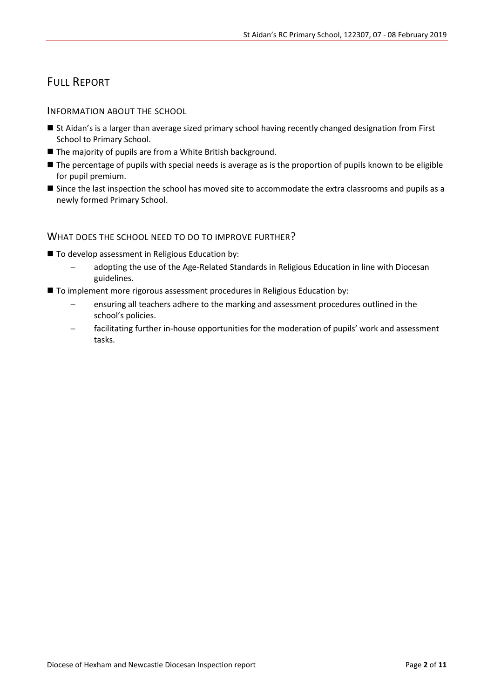## FULL REPORT

INFORMATION ABOUT THE SCHOOL

- St Aidan's is a larger than average sized primary school having recently changed designation from First School to Primary School.
- The majority of pupils are from a White British background.
- The percentage of pupils with special needs is average as is the proportion of pupils known to be eligible for pupil premium.
- Since the last inspection the school has moved site to accommodate the extra classrooms and pupils as a newly formed Primary School.

#### WHAT DOES THE SCHOOL NEED TO DO TO IMPROVE FURTHER?

- To develop assessment in Religious Education by:
	- adopting the use of the Age-Related Standards in Religious Education in line with Diocesan guidelines.
- To implement more rigorous assessment procedures in Religious Education by:
	- ensuring all teachers adhere to the marking and assessment procedures outlined in the school's policies.
	- facilitating further in-house opportunities for the moderation of pupils' work and assessment tasks.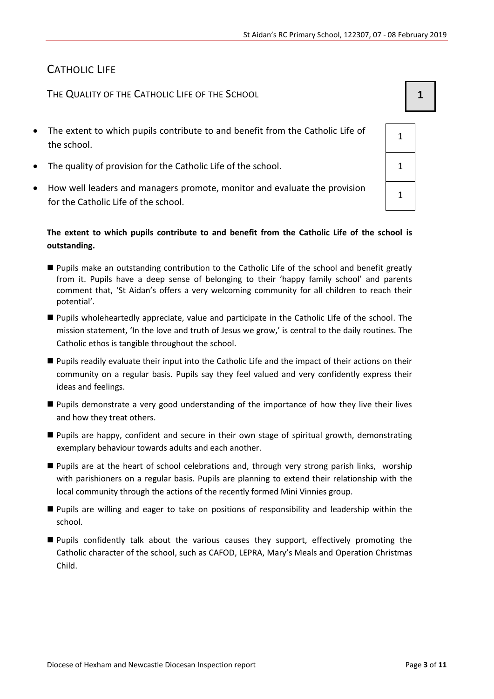## CATHOLIC LIFE

THE QUALITY OF THE CATHOLIC LIFE OF THE SCHOOL **1 1** 

- The extent to which pupils contribute to and benefit from the Catholic Life of the school.
- The quality of provision for the Catholic Life of the school.
- How well leaders and managers promote, monitor and evaluate the provision for the Catholic Life of the school.

### **The extent to which pupils contribute to and benefit from the Catholic Life of the school is outstanding.**

- **Pupils make an outstanding contribution to the Catholic Life of the school and benefit greatly** from it. Pupils have a deep sense of belonging to their 'happy family school' and parents comment that, 'St Aidan's offers a very welcoming community for all children to reach their potential'.
- Pupils wholeheartedly appreciate, value and participate in the Catholic Life of the school. The mission statement, 'In the love and truth of Jesus we grow,' is central to the daily routines. The Catholic ethos is tangible throughout the school.
- Pupils readily evaluate their input into the Catholic Life and the impact of their actions on their community on a regular basis. Pupils say they feel valued and very confidently express their ideas and feelings.
- Pupils demonstrate a very good understanding of the importance of how they live their lives and how they treat others.
- Pupils are happy, confident and secure in their own stage of spiritual growth, demonstrating exemplary behaviour towards adults and each another.
- **Pupils are at the heart of school celebrations and, through very strong parish links, worship** with parishioners on a regular basis. Pupils are planning to extend their relationship with the local community through the actions of the recently formed Mini Vinnies group.
- Pupils are willing and eager to take on positions of responsibility and leadership within the school.
- Pupils confidently talk about the various causes they support, effectively promoting the Catholic character of the school, such as CAFOD, LEPRA, Mary's Meals and Operation Christmas Child.

| $\overline{1}$ |  |
|----------------|--|
| $\mathbf{1}$   |  |
|                |  |

1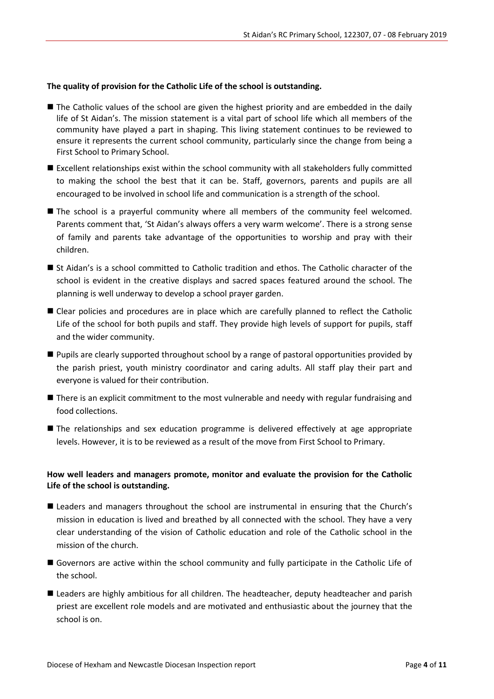#### **The quality of provision for the Catholic Life of the school is outstanding.**

- The Catholic values of the school are given the highest priority and are embedded in the daily life of St Aidan's. The mission statement is a vital part of school life which all members of the community have played a part in shaping. This living statement continues to be reviewed to ensure it represents the current school community, particularly since the change from being a First School to Primary School.
- Excellent relationships exist within the school community with all stakeholders fully committed to making the school the best that it can be. Staff, governors, parents and pupils are all encouraged to be involved in school life and communication is a strength of the school.
- The school is a prayerful community where all members of the community feel welcomed. Parents comment that, 'St Aidan's always offers a very warm welcome'. There is a strong sense of family and parents take advantage of the opportunities to worship and pray with their children.
- St Aidan's is a school committed to Catholic tradition and ethos. The Catholic character of the school is evident in the creative displays and sacred spaces featured around the school. The planning is well underway to develop a school prayer garden.
- **E** Clear policies and procedures are in place which are carefully planned to reflect the Catholic Life of the school for both pupils and staff. They provide high levels of support for pupils, staff and the wider community.
- **Pupils are clearly supported throughout school by a range of pastoral opportunities provided by** the parish priest, youth ministry coordinator and caring adults. All staff play their part and everyone is valued for their contribution.
- There is an explicit commitment to the most vulnerable and needy with regular fundraising and food collections.
- The relationships and sex education programme is delivered effectively at age appropriate levels. However, it is to be reviewed as a result of the move from First School to Primary.

#### **How well leaders and managers promote, monitor and evaluate the provision for the Catholic Life of the school is outstanding.**

- Leaders and managers throughout the school are instrumental in ensuring that the Church's mission in education is lived and breathed by all connected with the school. They have a very clear understanding of the vision of Catholic education and role of the Catholic school in the mission of the church.
- Governors are active within the school community and fully participate in the Catholic Life of the school.
- **Leaders are highly ambitious for all children. The headteacher, deputy headteacher and parish** priest are excellent role models and are motivated and enthusiastic about the journey that the school is on.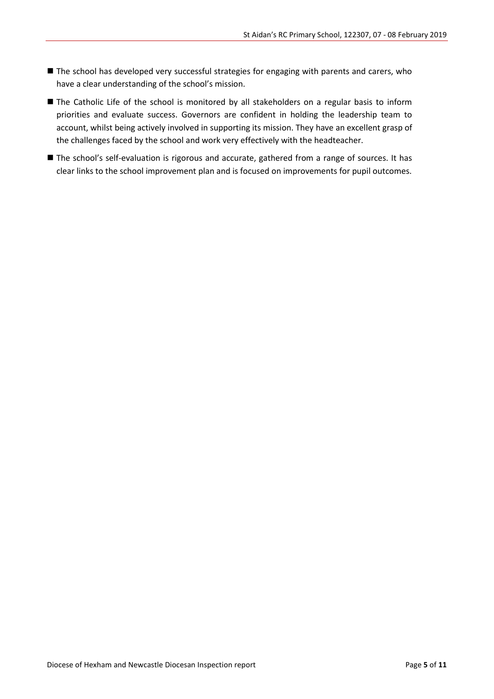- The school has developed very successful strategies for engaging with parents and carers, who have a clear understanding of the school's mission.
- The Catholic Life of the school is monitored by all stakeholders on a regular basis to inform priorities and evaluate success. Governors are confident in holding the leadership team to account, whilst being actively involved in supporting its mission. They have an excellent grasp of the challenges faced by the school and work very effectively with the headteacher.
- The school's self-evaluation is rigorous and accurate, gathered from a range of sources. It has clear links to the school improvement plan and is focused on improvements for pupil outcomes.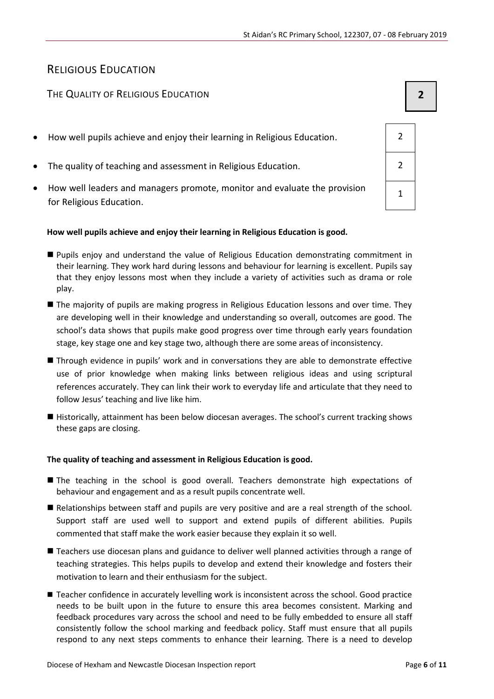## RELIGIOUS EDUCATION

#### THE QUALITY OF RELIGIOUS EDUCATION **2**

- How well pupils achieve and enjoy their learning in Religious Education. 2
- The quality of teaching and assessment in Religious Education. 2
- How well leaders and managers promote, monitor and evaluate the provision for Religious Education.

#### **How well pupils achieve and enjoy their learning in Religious Education is good.**

- Pupils enjoy and understand the value of Religious Education demonstrating commitment in their learning. They work hard during lessons and behaviour for learning is excellent. Pupils say that they enjoy lessons most when they include a variety of activities such as drama or role play.
- **The majority of pupils are making progress in Religious Education lessons and over time. They** are developing well in their knowledge and understanding so overall, outcomes are good. The school's data shows that pupils make good progress over time through early years foundation stage, key stage one and key stage two, although there are some areas of inconsistency.
- Through evidence in pupils' work and in conversations they are able to demonstrate effective use of prior knowledge when making links between religious ideas and using scriptural references accurately. They can link their work to everyday life and articulate that they need to follow Jesus' teaching and live like him.
- Historically, attainment has been below diocesan averages. The school's current tracking shows these gaps are closing.

#### **The quality of teaching and assessment in Religious Education is good.**

- **The teaching in the school is good overall. Teachers demonstrate high expectations of** behaviour and engagement and as a result pupils concentrate well.
- Relationships between staff and pupils are very positive and are a real strength of the school. Support staff are used well to support and extend pupils of different abilities. Pupils commented that staff make the work easier because they explain it so well.
- Teachers use diocesan plans and guidance to deliver well planned activities through a range of teaching strategies. This helps pupils to develop and extend their knowledge and fosters their motivation to learn and their enthusiasm for the subject.
- Teacher confidence in accurately levelling work is inconsistent across the school. Good practice needs to be built upon in the future to ensure this area becomes consistent. Marking and feedback procedures vary across the school and need to be fully embedded to ensure all staff consistently follow the school marking and feedback policy. Staff must ensure that all pupils respond to any next steps comments to enhance their learning. There is a need to develop

| $\overline{2}$ |  |
|----------------|--|
| $\overline{2}$ |  |
| $\overline{1}$ |  |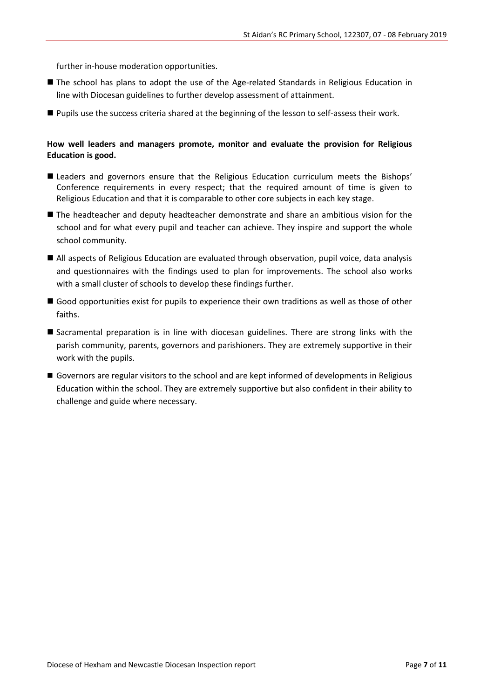further in-house moderation opportunities.

- The school has plans to adopt the use of the Age-related Standards in Religious Education in line with Diocesan guidelines to further develop assessment of attainment.
- **Pupils use the success criteria shared at the beginning of the lesson to self-assess their work.**

#### **How well leaders and managers promote, monitor and evaluate the provision for Religious Education is good.**

- **E** Leaders and governors ensure that the Religious Education curriculum meets the Bishops' Conference requirements in every respect; that the required amount of time is given to Religious Education and that it is comparable to other core subjects in each key stage.
- The headteacher and deputy headteacher demonstrate and share an ambitious vision for the school and for what every pupil and teacher can achieve. They inspire and support the whole school community.
- All aspects of Religious Education are evaluated through observation, pupil voice, data analysis and questionnaires with the findings used to plan for improvements. The school also works with a small cluster of schools to develop these findings further.
- Good opportunities exist for pupils to experience their own traditions as well as those of other faiths.
- Sacramental preparation is in line with diocesan guidelines. There are strong links with the parish community, parents, governors and parishioners. They are extremely supportive in their work with the pupils.
- Governors are regular visitors to the school and are kept informed of developments in Religious Education within the school. They are extremely supportive but also confident in their ability to challenge and guide where necessary.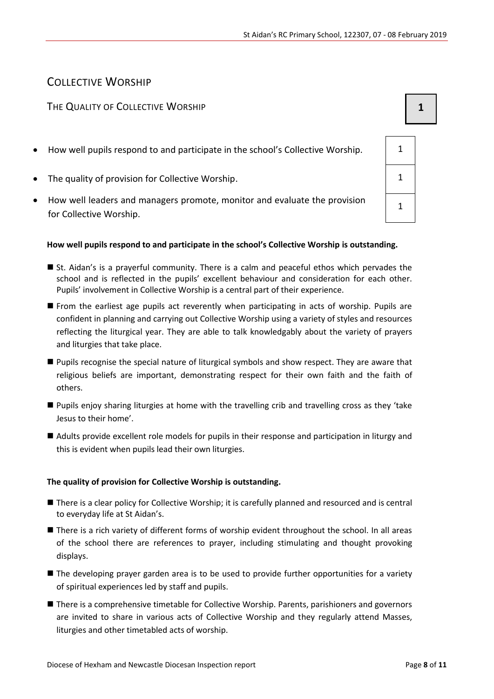## COLLECTIVE WORSHIP

#### THE QUALITY OF COLLECTIVE WORSHIP **1 1**

- How well pupils respond to and participate in the school's Collective Worship. 1
- The quality of provision for Collective Worship.
- How well leaders and managers promote, monitor and evaluate the provision for Collective Worship.

#### **How well pupils respond to and participate in the school's Collective Worship is outstanding.**

- St. Aidan's is a prayerful community. There is a calm and peaceful ethos which pervades the school and is reflected in the pupils' excellent behaviour and consideration for each other. Pupils' involvement in Collective Worship is a central part of their experience.
- From the earliest age pupils act reverently when participating in acts of worship. Pupils are confident in planning and carrying out Collective Worship using a variety of styles and resources reflecting the liturgical year. They are able to talk knowledgably about the variety of prayers and liturgies that take place.
- Pupils recognise the special nature of liturgical symbols and show respect. They are aware that religious beliefs are important, demonstrating respect for their own faith and the faith of others.
- Pupils enjoy sharing liturgies at home with the travelling crib and travelling cross as they 'take Jesus to their home'.
- Adults provide excellent role models for pupils in their response and participation in liturgy and this is evident when pupils lead their own liturgies.

#### **The quality of provision for Collective Worship is outstanding.**

- There is a clear policy for Collective Worship; it is carefully planned and resourced and is central to everyday life at St Aidan's.
- There is a rich variety of different forms of worship evident throughout the school. In all areas of the school there are references to prayer, including stimulating and thought provoking displays.
- The developing prayer garden area is to be used to provide further opportunities for a variety of spiritual experiences led by staff and pupils.
- **There is a comprehensive timetable for Collective Worship. Parents, parishioners and governors** are invited to share in various acts of Collective Worship and they regularly attend Masses, liturgies and other timetabled acts of worship.

| 1           |  |
|-------------|--|
| $\mathbf 1$ |  |
| $\mathbf 1$ |  |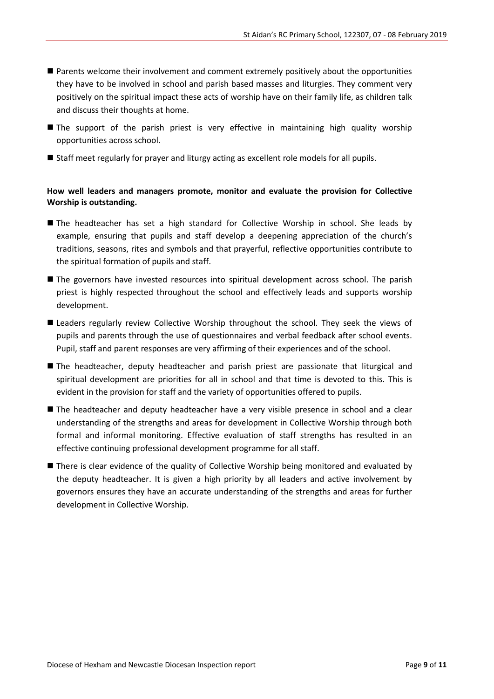- Parents welcome their involvement and comment extremely positively about the opportunities they have to be involved in school and parish based masses and liturgies. They comment very positively on the spiritual impact these acts of worship have on their family life, as children talk and discuss their thoughts at home.
- **The support of the parish priest is very effective in maintaining high quality worship** opportunities across school.
- Staff meet regularly for prayer and liturgy acting as excellent role models for all pupils.

#### **How well leaders and managers promote, monitor and evaluate the provision for Collective Worship is outstanding.**

- The headteacher has set a high standard for Collective Worship in school. She leads by example, ensuring that pupils and staff develop a deepening appreciation of the church's traditions, seasons, rites and symbols and that prayerful, reflective opportunities contribute to the spiritual formation of pupils and staff.
- The governors have invested resources into spiritual development across school. The parish priest is highly respected throughout the school and effectively leads and supports worship development.
- **E** Leaders regularly review Collective Worship throughout the school. They seek the views of pupils and parents through the use of questionnaires and verbal feedback after school events. Pupil, staff and parent responses are very affirming of their experiences and of the school.
- **The headteacher, deputy headteacher and parish priest are passionate that liturgical and** spiritual development are priorities for all in school and that time is devoted to this. This is evident in the provision for staff and the variety of opportunities offered to pupils.
- The headteacher and deputy headteacher have a very visible presence in school and a clear understanding of the strengths and areas for development in Collective Worship through both formal and informal monitoring. Effective evaluation of staff strengths has resulted in an effective continuing professional development programme for all staff.
- **There is clear evidence of the quality of Collective Worship being monitored and evaluated by** the deputy headteacher. It is given a high priority by all leaders and active involvement by governors ensures they have an accurate understanding of the strengths and areas for further development in Collective Worship.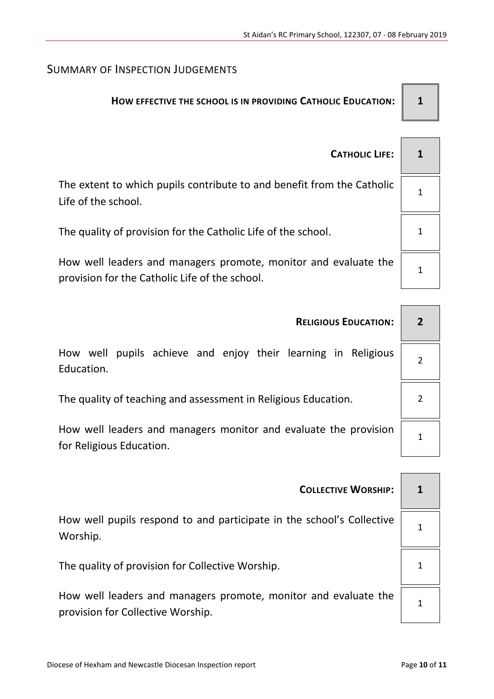## SUMMARY OF INSPECTION JUDGEMENTS

## **HOW EFFECTIVE THE SCHOOL IS IN PROVIDING CATHOLIC EDUCATION: 1**

| <b>CATHOLIC LIFE:</b>                                                                                             |  |
|-------------------------------------------------------------------------------------------------------------------|--|
| The extent to which pupils contribute to and benefit from the Catholic<br>Life of the school.                     |  |
| The quality of provision for the Catholic Life of the school.                                                     |  |
| How well leaders and managers promote, monitor and evaluate the<br>provision for the Catholic Life of the school. |  |

| <b>RELIGIOUS EDUCATION:</b>                                                                  |                |
|----------------------------------------------------------------------------------------------|----------------|
| How well pupils achieve and enjoy their learning in Religious<br>Education.                  | $\overline{2}$ |
| The quality of teaching and assessment in Religious Education.                               |                |
| How well leaders and managers monitor and evaluate the provision<br>for Religious Education. |                |

| <b>COLLECTIVE WORSHIP:</b>                                                                           | 1 |
|------------------------------------------------------------------------------------------------------|---|
| How well pupils respond to and participate in the school's Collective<br>Worship.                    |   |
| The quality of provision for Collective Worship.                                                     | 1 |
| How well leaders and managers promote, monitor and evaluate the<br>provision for Collective Worship. | 1 |

1

1